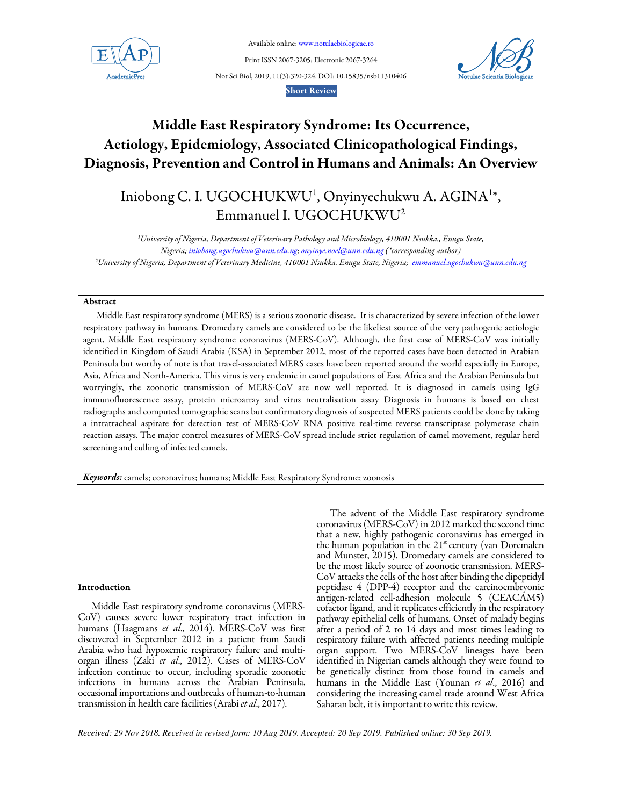

Available online: www.notulaebiologicae.ro

Print ISSN 2067-3205; Electronic 2067-3264 Not Sci Biol, 2019, 11(3):320-324. DOI: 10.15835/nsb11310406



Short Review

# Middle East Respiratory Syndrome: Its Occurrence, Aetiology, Epidemiology, Associated Clinicopathological Findings, Diagnosis, Prevention and Control in Humans and Animals: An Overview

# Iniobong C. I. UGOCHUKWU<sup>1</sup>, Onyinyechukwu A. AGINA<sup>1\*</sup>, Emmanuel I. UGOCHUKWU<sup>2</sup>

*<sup>1</sup>University of Nigeria, Department of Veterinary Pathology and Microbiology, 410001 Nsukka., Enugu State, Nigeria; iniobong.ugochukwu@unn.edu.ng*; *onyinye.noel@unn.edu.ng (\*corresponding author) <sup>2</sup>University of Nigeria, Department of Veterinary Medicine, 410001 Nsukka. Enugu State, Nigeria; emmanuel.ugochukwu@unn.edu.ng*

## Abstract

Middle East respiratory syndrome (MERS) is a serious zoonotic disease. It is characterized by severe infection of the lower respiratory pathway in humans. Dromedary camels are considered to be the likeliest source of the very pathogenic aetiologic agent, Middle East respiratory syndrome coronavirus (MERS-CoV). Although, the first case of MERS-CoV was initially identified in Kingdom of Saudi Arabia (KSA) in September 2012, most of the reported cases have been detected in Arabian Peninsula but worthy of note is that travel-associated MERS cases have been reported around the world especially in Europe, Asia, Africa and North-America. This virus is very endemic in camel populations of East Africa and the Arabian Peninsula but worryingly, the zoonotic transmission of MERS-CoV are now well reported. It is diagnosed in camels using IgG immunofluorescence assay, protein microarray and virus neutralisation assay Diagnosis in humans is based on chest radiographs and computed tomographic scans but confirmatory diagnosis of suspected MERS patients could be done by taking a intratracheal aspirate for detection test of MERS-CoV RNA positive real-time reverse transcriptase polymerase chain reaction assays. The major control measures of MERS-CoV spread include strict regulation of camel movement, regular herd screening and culling of infected camels.

Keywords: camels; coronavirus; humans; Middle East Respiratory Syndrome; zoonosis

## Introduction

Middle East respiratory syndrome coronavirus (MERS-CoV) causes severe lower respiratory tract infection in humans (Haagmans *et al*., 2014). MERS-CoV was first discovered in September 2012 in a patient from Saudi Arabia who had hypoxemic respiratory failure and multiorgan illness (Zaki *et al*., 2012). Cases of MERS-CoV infection continue to occur, including sporadic zoonotic infections in humans across the Arabian Peninsula, occasional importations and outbreaks of human-to-human transmission in health care facilities (Arabi *et al*., 2017).

The advent of the Middle East respiratory syndrome coronavirus (MERS-CoV) in 2012 marked the second time that a new, highly pathogenic coronavirus has emerged in the human population in the  $21<sup>st</sup>$  century (van Doremalen and Munster, 2015). Dromedary camels are considered to be the most likely source of zoonotic transmission. MERS-CoV attacks the cells of the host after binding the dipeptidyl peptidase 4 (DPP-4) receptor and the carcinoembryonic antigen-related cell-adhesion molecule 5 (CEACAM5) cofactor ligand, and it replicates efficiently in the respiratory pathway epithelial cells of humans. Onset of malady begins after a period of 2 to 14 days and most times leading to respiratory failure with affected patients needing multiple organ support. Two MERS-CoV lineages have been identified in Nigerian camels although they were found to be genetically distinct from those found in camels and humans in the Middle East (Younan *et al*., 2016) and considering the increasing camel trade around West Africa Saharan belt, it is important to write this review.

*Received: 29 Nov 2018. Received in revised form: 10 Aug 2019. Accepted: 20 Sep 2019. Published online: 30 Sep 2019.*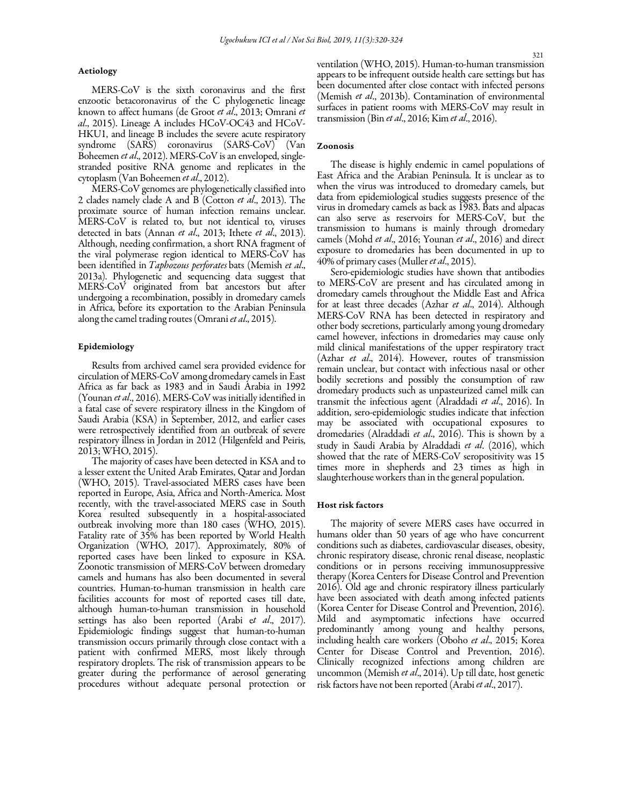## Aetiology

MERS-CoV is the sixth coronavirus and the first enzootic betacoronavirus of the C phylogenetic lineage known to affect humans (de Groot *et al*., 2013; Omrani *et al*., 2015). Lineage A includes HCoV-OC43 and HCoV-HKU1, and lineage B includes the severe acute respiratory syndrome (SARS) coronavirus (SARS-CoV) (Van Boheemen *et al*., 2012). MERS-CoV is an enveloped, singlestranded positive RNA genome and replicates in the cytoplasm (Van Boheemen *et al*., 2012).

MERS-CoV genomes are phylogenetically classified into 2 clades namely clade A and B (Cotton *et al*., 2013). The proximate source of human infection remains unclear. MERS-CoV is related to, but not identical to, viruses detected in bats (Annan *et al*., 2013; Ithete *et al*., 2013). Although, needing confirmation, a short RNA fragment of the viral polymerase region identical to MERS-CoV has been identified in *Taphozous perforates* bats (Memish *et al*., 2013a). Phylogenetic and sequencing data suggest that MERS-CoV originated from bat ancestors but after undergoing a recombination, possibly in dromedary camels in Africa, before its exportation to the Arabian Peninsula along the camel trading routes (Omrani *et al*., 2015).

## Epidemiology

Results from archived camel sera provided evidence for circulation of MERS-CoV among dromedary camels in East Africa as far back as 1983 and in Saudi Arabia in 1992 (Younan *et al*., 2016). MERS-CoV was initially identified in a fatal case of severe respiratory illness in the Kingdom of Saudi Arabia (KSA) in September, 2012, and earlier cases were retrospectively identified from an outbreak of severe respiratory illness in Jordan in 2012 (Hilgenfeld and Peiris, 2013; WHO, 2015).

The majority of cases have been detected in KSA and to a lesser extent the United Arab Emirates, Qatar and Jordan (WHO, 2015). Travel-associated MERS cases have been reported in Europe, Asia, Africa and North-America. Most recently, with the travel-associated MERS case in South Korea resulted subsequently in a hospital-associated outbreak involving more than 180 cases (WHO, 2015). Fatality rate of 35% has been reported by World Health Organization (WHO, 2017). Approximately, 80% of reported cases have been linked to exposure in KSA. Zoonotic transmission of MERS-CoV between dromedary camels and humans has also been documented in several countries. Human-to-human transmission in health care facilities accounts for most of reported cases till date, although human-to-human transmission in household settings has also been reported (Arabi e*t al*., 2017). Epidemiologic findings suggest that human-to-human transmission occurs primarily through close contact with a patient with confirmed MERS, most likely through respiratory droplets. The risk of transmission appears to be greater during the performance of aerosol generating procedures without adequate personal protection or

ventilation (WHO, 2015). Human-to-human transmission appears to be infrequent outside health care settings but has been documented after close contact with infected persons (Memish *et al*., 2013b). Contamination of environmental surfaces in patient rooms with MERS-CoV may result in transmission (Bin *et al*., 2016; Kim *et al*., 2016).

## Zoonosis

The disease is highly endemic in camel populations of East Africa and the Arabian Peninsula. It is unclear as to when the virus was introduced to dromedary camels, but data from epidemiological studies suggests presence of the virus in dromedary camels as back as 1983. Bats and alpacas can also serve as reservoirs for MERS-CoV, but the transmission to humans is mainly through dromedary camels (Mohd *et al*., 2016; Younan *et al*., 2016) and direct exposure to dromedaries has been documented in up to 40% of primary cases (Muller *et al*., 2015).

Sero-epidemiologic studies have shown that antibodies to MERS-CoV are present and has circulated among in dromedary camels throughout the Middle East and Africa for at least three decades (Azhar *et al*., 2014). Although MERS-CoV RNA has been detected in respiratory and other body secretions, particularly among young dromedary camel however, infections in dromedaries may cause only mild clinical manifestations of the upper respiratory tract (Azhar *et al*., 2014). However, routes of transmission remain unclear, but contact with infectious nasal or other bodily secretions and possibly the consumption of raw dromedary products such as unpasteurized camel milk can transmit the infectious agent (Alraddadi *et al*., 2016). In addition, sero-epidemiologic studies indicate that infection may be associated with occupational exposures to dromedaries (Alraddadi *et al*., 2016). This is shown by a study in Saudi Arabia by Alraddadi *et al*. (2016), which showed that the rate of MERS-CoV seropositivity was 15 times more in shepherds and 23 times as high in slaughterhouse workers than in the general population.

#### Host risk factors

The majority of severe MERS cases have occurred in humans older than 50 years of age who have concurrent conditions such as diabetes, cardiovascular diseases, obesity, chronic respiratory disease, chronic renal disease, neoplastic conditions or in persons receiving immunosuppressive therapy (Korea Centers for Disease Control and Prevention 2016). Old age and chronic respiratory illness particularly have been associated with death among infected patients (Korea Center for Disease Control and Prevention, 2016). Mild and asymptomatic infections have occurred predominantly among young and healthy persons, including health care workers (Oboho *et al*., 2015; Korea Center for Disease Control and Prevention, 2016). Clinically recognized infections among children are uncommon (Memish *et al*., 2014). Up till date, host genetic risk factors have not been reported (Arabi *et al*., 2017).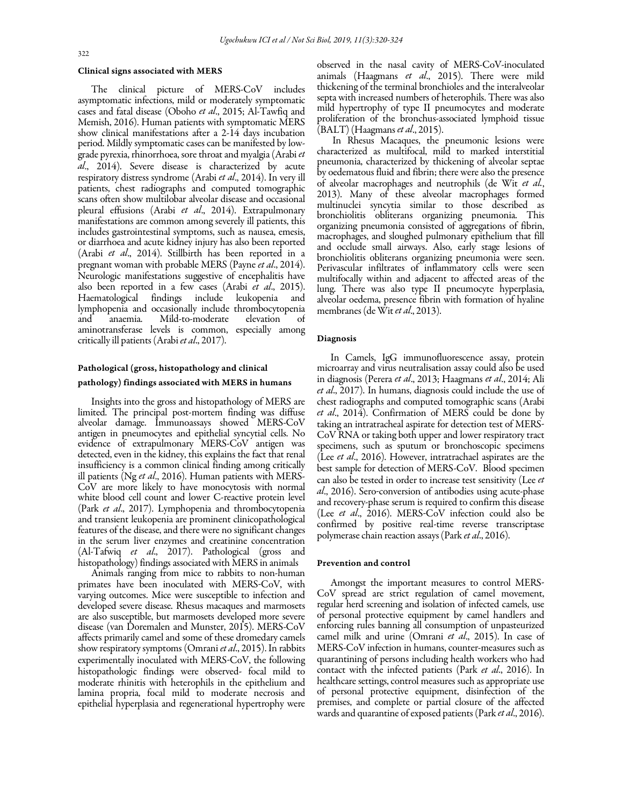#### Clinical signs associated with MERS

The clinical picture of MERS-CoV includes asymptomatic infections, mild or moderately symptomatic cases and fatal disease (Oboho *et al*., 2015; Al-Tawfiq and Memish, 2016). Human patients with symptomatic MERS show clinical manifestations after a 2-14 days incubation period. Mildly symptomatic cases can be manifested by lowgrade pyrexia, rhinorrhoea, sore throat and myalgia (Arabi*et al*., 2014). Severe disease is characterized by acute respiratory distress syndrome (Arabi *et al*., 2014). In very ill patients, chest radiographs and computed tomographic scans often show multilobar alveolar disease and occasional pleural effusions (Arabi *et al*., 2014). Extrapulmonary manifestations are common among severely ill patients, this includes gastrointestinal symptoms, such as nausea, emesis, or diarrhoea and acute kidney injury has also been reported (Arabi *et al*., 2014). Stillbirth has been reported in a pregnant woman with probable MERS (Payne *et al*., 2014). Neurologic manifestations suggestive of encephalitis have also been reported in a few cases (Arabi *et al*., 2015). Haematological findings include leukopenia and lymphopenia and occasionally include thrombocytopenia and anaemia. Mild-to-moderate elevation of aminotransferase levels is common, especially among critically ill patients (Arabi *et al*., 2017).

## Pathological (gross, histopathology and clinical pathology) findings associated with MERS in humans

Insights into the gross and histopathology of MERS are limited. The principal post-mortem finding was diffuse alveolar damage. Immunoassays showed MERS-CoV antigen in pneumocytes and epithelial syncytial cells. No evidence of extrapulmonary MERS-CoV antigen was detected, even in the kidney, this explains the fact that renal insufficiency is a common clinical finding among critically ill patients (Ng *et al*., 2016). Human patients with MERS-CoV are more likely to have monocytosis with normal white blood cell count and lower C-reactive protein level (Park *et al*., 2017). Lymphopenia and thrombocytopenia and transient leukopenia are prominent clinicopathological features of the disease, and there were no significant changes in the serum liver enzymes and creatinine concentration (Al-Tafwiq *et al*., 2017). Pathological (gross and histopathology) findings associated with MERS in animals

 developed severe disease. Rhesus macaques and marmosets Animals ranging from mice to rabbits to non-human primates have been inoculated with MERS*-*CoV, with varying outcomes. Mice were susceptible to infection and are also susceptible, but marmosets developed more severe disease (van Doremalen and Munster, 2015). MERS-CoV affects primarily camel and some of these dromedary camels show respiratory symptoms (Omrani *et al*., 2015). In rabbits experimentally inoculated with MERS*-*CoV, the following histopathologic findings were observed*-* focal mild to moderate rhinitis with heterophils in the epithelium and lamina propria, focal mild to moderate necrosis and epithelial hyperplasia and regenerational hypertrophy were

observed in the nasal cavity of MERS-CoV-inoculated animals (Haagmans *et al*., 2015). There were mild thickening of the terminal bronchioles and the interalveolar septa with increased numbers of heterophils. There was also mild hypertrophy of type II pneumocytes and moderate proliferation of the bronchus-associated lymphoid tissue (BALT) (Haagmans *et al*., 2015).

In Rhesus Macaques, the pneumonic lesions were characterized as multifocal, mild to marked interstitial pneumonia, characterized by thickening of alveolar septae by oedematous fluid and fibrin; there were also the presence of alveolar macrophages and neutrophils (de Wit *et al.*, 2013). Many of these alveolar macrophages formed multinuclei syncytia similar to those described as bronchiolitis obliterans organizing pneumonia. This organizing pneumonia consisted of aggregations of fibrin, macrophages, and sloughed pulmonary epithelium that fill and occlude small airways. Also, early stage lesions of bronchiolitis obliterans organizing pneumonia were seen. Perivascular infiltrates of inflammatory cells were seen multifocally within and adjacent to affected areas of the lung. There was also type II pneumocyte hyperplasia, alveolar oedema, presence fibrin with formation of hyaline membranes (de Wit *et al*., 2013).

### Diagnosis

In Camels, IgG immunofluorescence assay, protein microarray and virus neutralisation assay could also be used in diagnosis (Perera *et al*., 2013; Haagmans *et al*., 2014; Ali *et al*., 2017). In humans, diagnosis could include the use of chest radiographs and computed tomographic scans (Arabi *et al*., 2014). Confirmation of MERS could be done by taking an intratracheal aspirate for detection test of MERS*-*CoV RNA or taking both upper and lower respiratory tract specimens, such as sputum or bronchoscopic specimens (Lee *et al*., 2016). However, intratrachael aspirates are the best sample for detection of MERS*-*CoV. Blood specimen can also be tested in order to increase test sensitivity (Lee *et al*., 2016). Sero*-*conversion of antibodies using acute-phase and recovery-phase serum is required to confirm this disease (Lee *et al*., 2016). MERS*-*CoV infection could also be confirmed by positive real-time reverse transcriptase polymerase chain reaction assays (Park *et al*., 2016).

## Prevention and control

Amongst the important measures to control MERS*-*CoV spread are strict regulation of camel movement, regular herd screening and isolation of infected camels, use of personal protective equipment by camel handlers and enforcing rules banning all consumption of unpasteurized camel milk and urine (Omrani *et al*., 2015). In case of MERS*-*CoV infection in humans, counter-measures such as quarantining of persons including health workers who had contact with the infected patients (Park *et al*., 2016). In healthcare settings, control measures such as appropriate use of personal protective equipment, disinfection of the premises, and complete or partial closure of the affected wards and quarantine of exposed patients (Park *et al*., 2016).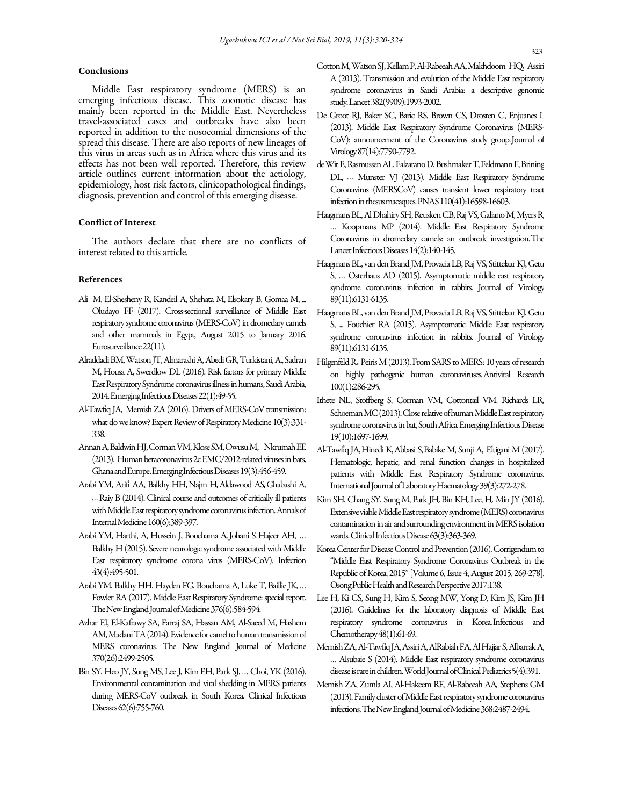## Conclusions

Middle East respiratory syndrome (MERS) is an emerging infectious disease. This zoonotic disease has mainly been reported in the Middle East. Nevertheless travel-associated cases and outbreaks have also been reported in addition to the nosocomial dimensions of the spread this disease. There are also reports of new lineages of this virus in areas such as in Africa where this virus and its effects has not been well reported. Therefore, this review article outlines current information about the aetiology, epidemiology, host risk factors, clinicopathological findings, diagnosis, prevention and control of this emerging disease.

## Conflict of Interest

The authors declare that there are no conflicts of interest related to this article.

#### References

- Ali M, El-Shesheny R, Kandeil A, Shehata M, Elsokary B, Gomaa M, ... Oludayo FF (2017). Cross-sectional surveillance of Middle East respiratory syndrome coronavirus (MERS-CoV) in dromedary camels and other mammals in Egypt, August 2015 to January 2016. Eurosurveillance 22(11).
- Alraddadi BM, Watson JT, Almarashi A, Abedi GR, Turkistani, A., Sadran M, Housa A, Swerdlow DL (2016). Risk factors for primary Middle East Respiratory Syndrome coronavirus illness in humans, Saudi Arabia, 2014. Emerging Infectious Diseases 22(1):49-55.
- Al-Tawfiq JA*,* Memish ZA(2016). Drivers of MERS-CoV transmission: what do we know? Expert Review of Respiratory Medicine 10(3):331- 338.
- Annan A, Baldwin HJ, Corman VM, Klose SM, Owusu M, Nkrumah EE (2013). Human betacoronavirus 2c EMC/2012-related viruses in bats, Ghana and Europe. Emerging Infectious Diseases 19(3):456-459.
- Arabi YM, Arifi AA, Balkhy HH*,* Najm H*,* Aldawood AS*,* Ghabashi A*, …* Raiy B (2014). Clinical course and outcomes of critically ill patients with Middle East respiratory syndrome coronavirus infection. Annals of Internal Medicine 160(6):389-397.
- Arabi YM, Harthi, A, Hussein J, Bouchama A*,* Johani S*.* Hajeer AH, … Balkhy H (2015). Severe neurologic syndrome associated with Middle East respiratory syndrome corona virus (MERS-CoV). Infection 43(4):495-501.
- Arabi YM, Balkhy HH, Hayden FG, Bouchama A, Luke T, Baillie JK, … Fowler RA (2017). Middle East Respiratory Syndrome: special report. The New England Journal of Medicine 376(6):584-594.
- Azhar EI, El-Kafrawy SA, Farraj SA, Hassan AM, Al-Saeed M, Hashem AM, Madani TA (2014). Evidence for camel to human transmission of MERS coronavirus. The New England Journal of Medicine 370(26):2499-2505.
- Bin SY, Heo JY, Song MS, Lee J, Kim EH, Park SJ, … Choi, YK (2016). Environmental contamination and viral shedding in MERS patients during MERS-CoV outbreak in South Korea. Clinical Infectious Diseases 62(6):755-760.
- Cotton M, Watson SJ, Kellam P, Al-Rabeeah AA, Makhdoom HQ*,* Assiri A (2013). Transmission and evolution of the Middle East respiratory syndrome coronavirus in Saudi Arabia: a descriptive genomic study. Lancet 382(9909):1993-2002.
- De Groot RJ, Baker SC, Baric RS, Brown CS, Drosten C, Enjuanes L (2013). Middle East Respiratory Syndrome Coronavirus (MERS-CoV): announcement of the Coronavirus study group. Journal of Virology 87(14):7790-7792.
- de Wit E, Rasmussen AL, Falzarano D, Bushmaker T, Feldmann F, Brining DL, *…* Munster VJ (2013). Middle East Respiratory Syndrome Coronavirus (MERSCoV) causes transient lower respiratory tract infection in rhesus macaques. PNAS 110(41):16598-16603.
- Haagmans BL, Al Dhahiry SH, Reusken CB, Raj VS, Galiano M, Myers R, … Koopmans MP (2014). Middle East Respiratory Syndrome Coronavirus in dromedary camels: an outbreak investigation. The Lancet Infectious Diseases 14(2):140-145.
- Haagmans BL, van den Brand JM, Provacia LB, Raj VS, Stittelaar KJ, Getu S, … Osterhaus AD (2015). Asymptomatic middle east respiratory syndrome coronavirus infection in rabbits. Journal of Virology 89(11):6131-6135.
- Haagmans BL, van den Brand JM, Provacia LB, Raj VS, Stittelaar KJ, Getu S, ... Fouchier RA (2015). Asymptomatic Middle East respiratory syndrome coronavirus infection in rabbits. Journal of Virology 89(11):6131-6135.
- Hilgenfeld R.*,*Peiris M (2013). From SARS to MERS: 10 years of research on highly pathogenic human coronaviruses. Antiviral Research 100(1):286-295.
- Ithete NL, Stoffberg S, Corman VM, Cottontail VM, Richards LR*,* Schoeman MC (2013). Close relative of human Middle East respiratory syndrome coronavirus in bat, South Africa. Emerging Infectious Disease 19(10):1697-1699.
- Al‐Tawfiq JA, Hinedi K, Abbasi S, Babike M, Sunji A, Eltigani M (2017). Hematologic, hepatic, and renal function changes in hospitalized patients with Middle East Respiratory Syndrome coronavirus. International Journal of Laboratory Haematology 39(3):272-278.
- Kim SH, Chang SY, Sung M, Park JH*,* Bin KH*,* Lee, H*,* Min JY (2016). Extensive viable Middle East respiratory syndrome (MERS) coronavirus contamination in air and surrounding environment in MERS isolation wards. Clinical Infectious Disease 63(3):363-369.
- Korea Center for Disease Control and Prevention (2016). Corrigendum to "Middle East Respiratory Syndrome Coronavirus Outbreak in the Republic of Korea, 2015" [Volume 6, Issue 4, August 2015, 269-278]. Osong Public Health and Research Perspective 2017:138.
- Lee H, Ki CS, Sung H, Kim S, Seong MW, Yong D, Kim JS, Kim JH (2016). Guidelines for the laboratory diagnosis of Middle East respiratory syndrome coronavirus in Korea. Infectious and Chemotherapy 48(1):61-69.
- Memish ZA, Al-Tawfiq JA, Assiri A, AlRabiah FA, Al Hajjar S, Albarrak A, … Alsubaie S (2014). Middle East respiratory syndrome coronavirus disease is rare in children. World Journal of Clinical Pediatrics 5(4):391.
- Memish ZA, Zumla AI, Al-Hakeem RF, Al-Rabeeah AA*,* Stephens GM (2013). Family cluster of Middle East respiratory syndrome coronavirus infections. The New England Journal of Medicine 368:2487-2494.